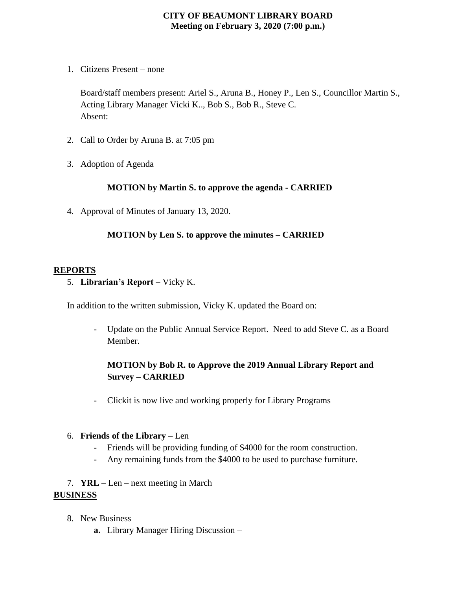## **CITY OF BEAUMONT LIBRARY BOARD Meeting on February 3, 2020 (7:00 p.m.)**

1. Citizens Present – none

Board/staff members present: Ariel S., Aruna B., Honey P., Len S., Councillor Martin S., Acting Library Manager Vicki K.., Bob S., Bob R., Steve C. Absent:

- 2. Call to Order by Aruna B. at 7:05 pm
- 3. Adoption of Agenda

#### **MOTION by Martin S. to approve the agenda - CARRIED**

4. Approval of Minutes of January 13, 2020.

## **MOTION by Len S. to approve the minutes – CARRIED**

#### **REPORTS**

5. **Librarian's Report** – Vicky K.

In addition to the written submission, Vicky K. updated the Board on:

- Update on the Public Annual Service Report. Need to add Steve C. as a Board Member.

# **MOTION by Bob R. to Approve the 2019 Annual Library Report and Survey – CARRIED**

- Clickit is now live and working properly for Library Programs

#### 6. **Friends of the Library** – Len

- Friends will be providing funding of \$4000 for the room construction.
- Any remaining funds from the \$4000 to be used to purchase furniture.
- 7. **YRL** Len next meeting in March

#### **BUSINESS**

- 8. New Business
	- **a.** Library Manager Hiring Discussion –